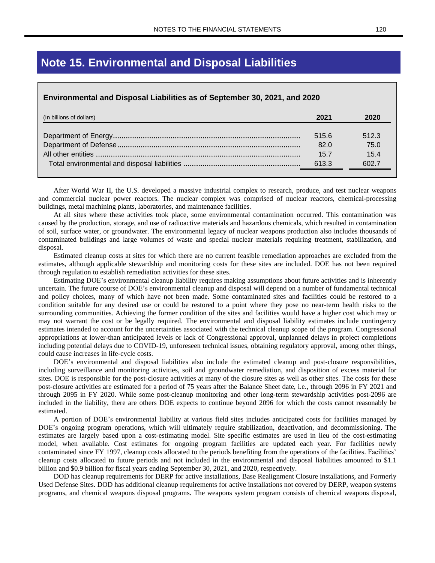## **Note 15. Environmental and Disposal Liabilities**

## **Environmental and Disposal Liabilities as of September 30, 2021, and 2020**

| (In billions of dollars) | 2021  | 2020  |
|--------------------------|-------|-------|
|                          | 515.6 | 512.3 |
|                          | 82.0  | 75.0  |
|                          | 15.7  | 15.4  |
|                          | 613.3 | 602.7 |
|                          |       |       |

After World War II, the U.S. developed a massive industrial complex to research, produce, and test nuclear weapons and commercial nuclear power reactors. The nuclear complex was comprised of nuclear reactors, chemical-processing buildings, metal machining plants, laboratories, and maintenance facilities.

At all sites where these activities took place, some environmental contamination occurred. This contamination was caused by the production, storage, and use of radioactive materials and hazardous chemicals, which resulted in contamination of soil, surface water, or groundwater. The environmental legacy of nuclear weapons production also includes thousands of contaminated buildings and large volumes of waste and special nuclear materials requiring treatment, stabilization, and disposal.

Estimated cleanup costs at sites for which there are no current feasible remediation approaches are excluded from the estimates, although applicable stewardship and monitoring costs for these sites are included. DOE has not been required through regulation to establish remediation activities for these sites.

Estimating DOE's environmental cleanup liability requires making assumptions about future activities and is inherently uncertain. The future course of DOE's environmental cleanup and disposal will depend on a number of fundamental technical and policy choices, many of which have not been made. Some contaminated sites and facilities could be restored to a condition suitable for any desired use or could be restored to a point where they pose no near-term health risks to the surrounding communities. Achieving the former condition of the sites and facilities would have a higher cost which may or may not warrant the cost or be legally required. The environmental and disposal liability estimates include contingency estimates intended to account for the uncertainties associated with the technical cleanup scope of the program. Congressional appropriations at lower-than anticipated levels or lack of Congressional approval, unplanned delays in project completions including potential delays due to COVID-19, unforeseen technical issues, obtaining regulatory approval, among other things, could cause increases in life-cycle costs.

DOE's environmental and disposal liabilities also include the estimated cleanup and post-closure responsibilities, including surveillance and monitoring activities, soil and groundwater remediation, and disposition of excess material for sites. DOE is responsible for the post-closure activities at many of the closure sites as well as other sites. The costs for these post-closure activities are estimated for a period of 75 years after the Balance Sheet date, i.e., through 2096 in FY 2021 and through 2095 in FY 2020. While some post-cleanup monitoring and other long-term stewardship activities post-2096 are included in the liability, there are others DOE expects to continue beyond 2096 for which the costs cannot reasonably be estimated.

A portion of DOE's environmental liability at various field sites includes anticipated costs for facilities managed by DOE's ongoing program operations, which will ultimately require stabilization, deactivation, and decommissioning. The estimates are largely based upon a cost-estimating model. Site specific estimates are used in lieu of the cost-estimating model, when available. Cost estimates for ongoing program facilities are updated each year. For facilities newly contaminated since FY 1997, cleanup costs allocated to the periods benefiting from the operations of the facilities. Facilities' cleanup costs allocated to future periods and not included in the environmental and disposal liabilities amounted to \$1.1 billion and \$0.9 billion for fiscal years ending September 30, 2021, and 2020, respectively.

DOD has cleanup requirements for DERP for active installations, Base Realignment Closure installations, and Formerly Used Defense Sites. DOD has additional cleanup requirements for active installations not covered by DERP, weapon systems programs, and chemical weapons disposal programs. The weapons system program consists of chemical weapons disposal,